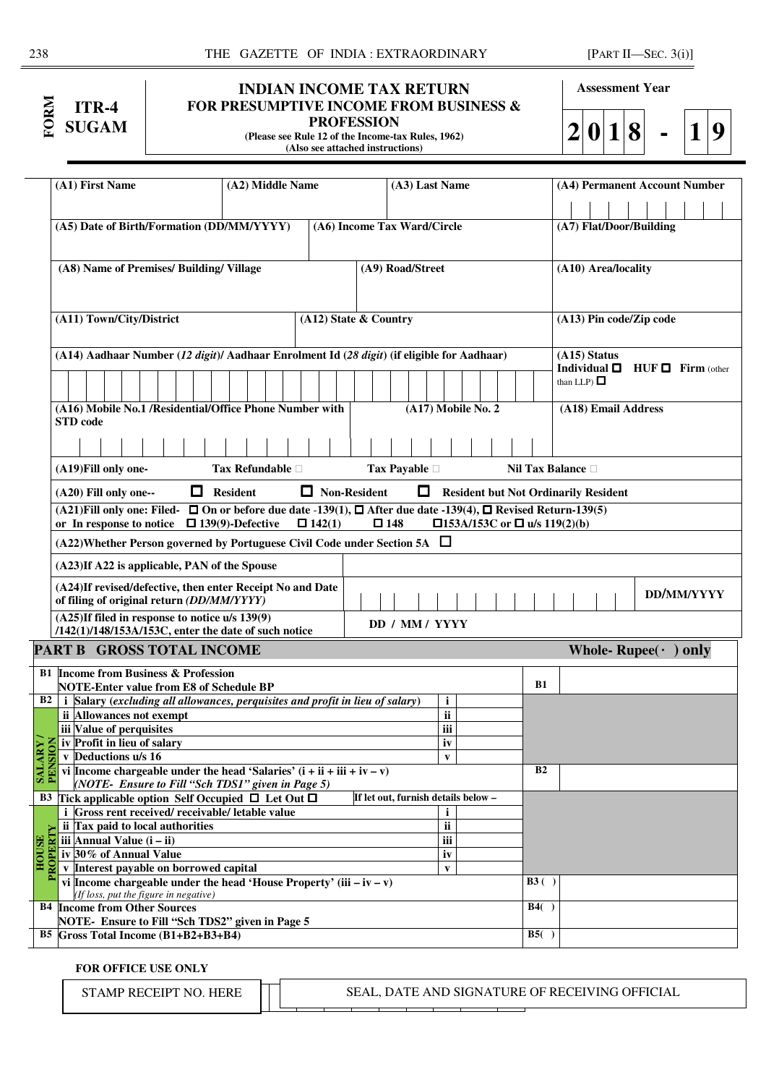| Σ | $ITR-4$<br><b>SUGAM</b> |
|---|-------------------------|
|   |                         |

# **INDIAN INCOME TAX RETURN FOR PRESUMPTIVE INCOME FROM BUSINESS & PROFESSION**

**(Please see Rule 12 of the Income-tax Rules, 1962) (Also see attached instructions)** 

**Assessment Year** 

**2 0 1 8 - 1 9**

|                       | (A1) First Name                                                                                                                        | (A2) Middle Name            |                       | (A3) Last Name                      |                                             |                        |                         | (A4) Permanent Account Number            |            |  |
|-----------------------|----------------------------------------------------------------------------------------------------------------------------------------|-----------------------------|-----------------------|-------------------------------------|---------------------------------------------|------------------------|-------------------------|------------------------------------------|------------|--|
|                       |                                                                                                                                        |                             |                       |                                     |                                             |                        |                         |                                          |            |  |
|                       | (A5) Date of Birth/Formation (DD/MM/YYYY)                                                                                              | (A6) Income Tax Ward/Circle |                       |                                     |                                             |                        | (A7) Flat/Door/Building |                                          |            |  |
|                       |                                                                                                                                        |                             |                       |                                     |                                             |                        |                         |                                          |            |  |
|                       | (A8) Name of Premises/ Building/ Village                                                                                               |                             |                       | (A9) Road/Street                    |                                             |                        | (A10) Area/locality     |                                          |            |  |
|                       |                                                                                                                                        |                             |                       |                                     |                                             |                        |                         |                                          |            |  |
|                       |                                                                                                                                        |                             |                       |                                     |                                             |                        |                         |                                          |            |  |
|                       | (A11) Town/City/District                                                                                                               |                             | (A12) State & Country |                                     |                                             |                        |                         | (A13) Pin code/Zip code                  |            |  |
|                       |                                                                                                                                        |                             |                       |                                     |                                             |                        |                         |                                          |            |  |
|                       | (A14) Aadhaar Number (12 digit)/ Aadhaar Enrolment Id (28 digit) (if eligible for Aadhaar)                                             |                             |                       |                                     |                                             |                        | (A15) Status            |                                          |            |  |
|                       |                                                                                                                                        |                             |                       |                                     |                                             |                        | than LLP) $\Box$        | Individual $\Box$ HUF $\Box$ Firm (other |            |  |
|                       |                                                                                                                                        |                             |                       |                                     |                                             |                        |                         |                                          |            |  |
|                       | (A16) Mobile No.1 /Residential/Office Phone Number with<br>STD code                                                                    |                             |                       |                                     | (A17) Mobile No. 2                          |                        | (A18) Email Address     |                                          |            |  |
|                       |                                                                                                                                        |                             |                       |                                     |                                             |                        |                         |                                          |            |  |
|                       |                                                                                                                                        |                             |                       |                                     |                                             |                        |                         |                                          |            |  |
|                       | (A19) Fill only one-                                                                                                                   | <b>Tax Refundable</b>       |                       | <b>Tax Payable</b>                  |                                             | <b>Nil Tax Balance</b> |                         |                                          |            |  |
|                       | (A20) Fill only one--                                                                                                                  | $\Box$ Resident             | $\Box$ Non-Resident   | 0                                   | <b>Resident but Not Ordinarily Resident</b> |                        |                         |                                          |            |  |
|                       | (A21)Fill only one: Filed- $\Box$ On or before due date -139(1), $\Box$ After due date -139(4), $\Box$ Revised Return-139(5)           |                             |                       |                                     |                                             |                        |                         |                                          |            |  |
|                       | or In response to notice $\Box$ 139(9)-Defective                                                                                       |                             | $\Box$ 142(1)         | $\square$ 148                       | □153A/153C or □ u/s 119(2)(b)               |                        |                         |                                          |            |  |
|                       | $(A22)$ Whether Person governed by Portuguese Civil Code under Section 5A $\Box$                                                       |                             |                       |                                     |                                             |                        |                         |                                          |            |  |
|                       | (A23)If A22 is applicable, PAN of the Spouse                                                                                           |                             |                       |                                     |                                             |                        |                         |                                          |            |  |
|                       | (A24)If revised/defective, then enter Receipt No and Date<br>of filing of original return (DD/MM/YYYY)                                 |                             |                       |                                     |                                             |                        |                         |                                          | DD/MM/YYYY |  |
|                       | (A25)If filed in response to notice u/s 139(9)                                                                                         |                             |                       | DD / MM / YYYY                      |                                             |                        |                         |                                          |            |  |
|                       | /142(1)/148/153A/153C, enter the date of such notice                                                                                   |                             |                       |                                     |                                             |                        |                         |                                          |            |  |
|                       | PART B GROSS TOTAL INCOME                                                                                                              |                             |                       |                                     |                                             |                        |                         | Whole-Rupee $(\cdot)$ only               |            |  |
|                       | <b>B1</b> Income from Business & Profession                                                                                            |                             |                       |                                     |                                             |                        |                         |                                          |            |  |
| <b>B2</b>             | <b>NOTE-Enter value from E8 of Schedule BP</b><br><i>i</i> Salary (excluding all allowances, perquisites and profit in lieu of salary) |                             |                       |                                     |                                             | <b>B1</b>              |                         |                                          |            |  |
|                       | ii Allowances not exempt                                                                                                               |                             |                       |                                     | $\mathbf i$<br>$\overline{\mathbf{ii}}$     |                        |                         |                                          |            |  |
|                       | iii Value of perquisites                                                                                                               |                             |                       |                                     | iii                                         |                        |                         |                                          |            |  |
|                       | iv Profit in lieu of salary                                                                                                            |                             |                       |                                     | $\overline{iv}$                             |                        |                         |                                          |            |  |
|                       | v Deductions u/s 16                                                                                                                    |                             |                       |                                     | $\mathbf{v}$                                |                        |                         |                                          |            |  |
| <b>BALAR</b><br>RAMAR | vi Income chargeable under the head 'Salaries' $(i + ii + iii + iv - v)$<br>(NOTE- Ensure to Fill "Sch TDS1" given in Page 5)          |                             |                       |                                     |                                             | B <sub>2</sub>         |                         |                                          |            |  |
|                       | B3 Tick applicable option Self Occupied $\Box$ Let Out $\Box$                                                                          |                             |                       | If let out, furnish details below - |                                             |                        |                         |                                          |            |  |
|                       | <i>i</i> Gross rent received/ receivable/ letable value                                                                                |                             |                       |                                     | i                                           |                        |                         |                                          |            |  |
|                       | ii Tax paid to local authorities                                                                                                       |                             |                       |                                     | ii                                          |                        |                         |                                          |            |  |
| PROPERTY              | iii Annual Value $(i - ii)$                                                                                                            |                             |                       |                                     | iii                                         |                        |                         |                                          |            |  |
| <b>HOUSE</b>          | iv 30% of Annual Value                                                                                                                 |                             |                       |                                     | iv                                          |                        |                         |                                          |            |  |
|                       | Interest payable on borrowed capital                                                                                                   |                             |                       |                                     | $\mathbf{v}$                                |                        |                         |                                          |            |  |
|                       | vi Income chargeable under the head 'House Property' (iii $-iv - v$ )<br>(If loss, put the figure in negative)                         |                             |                       |                                     |                                             | B3()                   |                         |                                          |            |  |
|                       | <b>B4</b> Income from Other Sources                                                                                                    |                             |                       |                                     |                                             | B4()                   |                         |                                          |            |  |
|                       |                                                                                                                                        |                             |                       |                                     |                                             |                        |                         |                                          |            |  |
|                       | NOTE-Ensure to Fill "Sch TDS2" given in Page 5<br>$B5$ Gross Total Income $(B1+B2+B3+B4)$                                              |                             |                       |                                     |                                             | B5()                   |                         |                                          |            |  |

**FOR OFFICE USE ONLY** 

STAMP RECEIPT NO. HERE **SEAL, DATE AND SIGNATURE OF RECEIVING OFFICIAL** 

T

 $\overline{\phantom{a}}$ 

T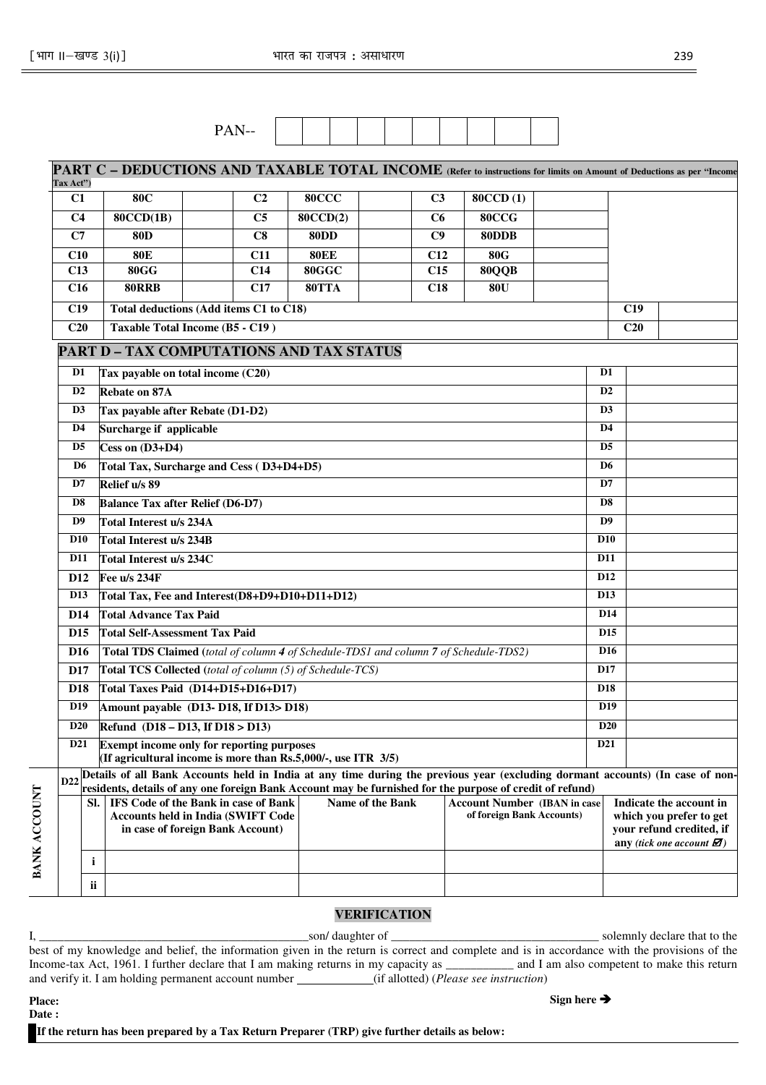| $- -$<br>--<br>--<br>- |  |  |  |  |  |  |
|------------------------|--|--|--|--|--|--|
|------------------------|--|--|--|--|--|--|

|                 |                                                                                                                                  |  |                |             |                  |                | PART C – DEDUCTIONS AND TAXABLE TOTAL INCOME (Refer to instructions for limits on Amount of Deductions as per "Income                                                                                                                         |  |                 |     |                                                                                                                                  |  |
|-----------------|----------------------------------------------------------------------------------------------------------------------------------|--|----------------|-------------|------------------|----------------|-----------------------------------------------------------------------------------------------------------------------------------------------------------------------------------------------------------------------------------------------|--|-----------------|-----|----------------------------------------------------------------------------------------------------------------------------------|--|
| Tax Act")       |                                                                                                                                  |  |                |             |                  |                |                                                                                                                                                                                                                                               |  |                 |     |                                                                                                                                  |  |
| C1              | <b>80C</b>                                                                                                                       |  | C <sub>2</sub> | 80CCC       |                  | C <sub>3</sub> | <b>80CCD(1)</b>                                                                                                                                                                                                                               |  |                 |     |                                                                                                                                  |  |
| C <sub>4</sub>  | 80CCD(1B)                                                                                                                        |  | C <sub>5</sub> | 80CCD(2)    |                  | C6             | 80CCG                                                                                                                                                                                                                                         |  |                 |     |                                                                                                                                  |  |
| C7              | <b>80D</b>                                                                                                                       |  | C8             | <b>80DD</b> |                  | C9             | 80DDB                                                                                                                                                                                                                                         |  |                 |     |                                                                                                                                  |  |
| C10             | <b>80E</b>                                                                                                                       |  | <b>C11</b>     | <b>80EE</b> |                  | C12            | <b>80G</b>                                                                                                                                                                                                                                    |  |                 |     |                                                                                                                                  |  |
| C13             | <b>80GG</b>                                                                                                                      |  | C14            | 80GGC       |                  | C15            | 80QQB                                                                                                                                                                                                                                         |  |                 |     |                                                                                                                                  |  |
| C16             | <b>80RRB</b>                                                                                                                     |  | C17            | 80TTA       |                  | C18            | <b>80U</b>                                                                                                                                                                                                                                    |  |                 |     |                                                                                                                                  |  |
| C19             | <b>Total deductions (Add items C1 to C18)</b><br>C19                                                                             |  |                |             |                  |                |                                                                                                                                                                                                                                               |  |                 |     |                                                                                                                                  |  |
| C20             | Taxable Total Income (B5 - C19)                                                                                                  |  |                |             |                  |                |                                                                                                                                                                                                                                               |  |                 | C20 |                                                                                                                                  |  |
|                 | <b>PART D - TAX COMPUTATIONS AND TAX STATUS</b>                                                                                  |  |                |             |                  |                |                                                                                                                                                                                                                                               |  |                 |     |                                                                                                                                  |  |
| D1              | Tax payable on total income (C20)                                                                                                |  |                |             |                  |                |                                                                                                                                                                                                                                               |  | D <sub>1</sub>  |     |                                                                                                                                  |  |
| D2              | Rebate on 87A                                                                                                                    |  |                |             |                  |                |                                                                                                                                                                                                                                               |  | D <sub>2</sub>  |     |                                                                                                                                  |  |
| D <sub>3</sub>  | Tax payable after Rebate (D1-D2)                                                                                                 |  |                |             |                  |                |                                                                                                                                                                                                                                               |  | D <sub>3</sub>  |     |                                                                                                                                  |  |
| D <sub>4</sub>  | Surcharge if applicable                                                                                                          |  |                |             |                  |                |                                                                                                                                                                                                                                               |  | D <sub>4</sub>  |     |                                                                                                                                  |  |
| D <sub>5</sub>  | Cess on $(D3+D4)$                                                                                                                |  |                |             |                  |                |                                                                                                                                                                                                                                               |  | D <sub>5</sub>  |     |                                                                                                                                  |  |
| D <sub>6</sub>  | Total Tax, Surcharge and Cess (D3+D4+D5)                                                                                         |  |                |             |                  |                |                                                                                                                                                                                                                                               |  | D <sub>6</sub>  |     |                                                                                                                                  |  |
| D7              | Relief u/s 89                                                                                                                    |  |                |             |                  |                |                                                                                                                                                                                                                                               |  | D7              |     |                                                                                                                                  |  |
| D8              | <b>Balance Tax after Relief (D6-D7)</b>                                                                                          |  |                |             |                  |                |                                                                                                                                                                                                                                               |  | D <sub>8</sub>  |     |                                                                                                                                  |  |
| D <sub>9</sub>  | <b>Total Interest u/s 234A</b>                                                                                                   |  |                |             |                  |                |                                                                                                                                                                                                                                               |  | D9              |     |                                                                                                                                  |  |
| <b>D10</b>      | Total Interest u/s 234B                                                                                                          |  |                |             |                  |                |                                                                                                                                                                                                                                               |  | <b>D10</b>      |     |                                                                                                                                  |  |
| <b>D11</b>      | Total Interest u/s 234C                                                                                                          |  |                |             |                  |                |                                                                                                                                                                                                                                               |  | <b>D11</b>      |     |                                                                                                                                  |  |
| D <sub>12</sub> | Fee u/s 234F                                                                                                                     |  |                |             |                  |                |                                                                                                                                                                                                                                               |  | D <sub>12</sub> |     |                                                                                                                                  |  |
| D <sub>13</sub> | Total Tax, Fee and Interest(D8+D9+D10+D11+D12)                                                                                   |  |                |             |                  |                |                                                                                                                                                                                                                                               |  | D <sub>13</sub> |     |                                                                                                                                  |  |
| D <sub>14</sub> | <b>Total Advance Tax Paid</b>                                                                                                    |  |                |             |                  |                |                                                                                                                                                                                                                                               |  | D14             |     |                                                                                                                                  |  |
| D <sub>15</sub> | <b>Total Self-Assessment Tax Paid</b>                                                                                            |  |                |             |                  |                |                                                                                                                                                                                                                                               |  | D <sub>15</sub> |     |                                                                                                                                  |  |
| D <sub>16</sub> | Total TDS Claimed (total of column 4 of Schedule-TDS1 and column 7 of Schedule-TDS2)                                             |  |                |             |                  |                |                                                                                                                                                                                                                                               |  | D <sub>16</sub> |     |                                                                                                                                  |  |
| D17             | Total TCS Collected (total of column (5) of Schedule-TCS)                                                                        |  |                |             |                  |                |                                                                                                                                                                                                                                               |  | D17             |     |                                                                                                                                  |  |
| D <sub>18</sub> | Total Taxes Paid (D14+D15+D16+D17)                                                                                               |  |                |             |                  |                |                                                                                                                                                                                                                                               |  | D <sub>18</sub> |     |                                                                                                                                  |  |
| D <sub>19</sub> | Amount payable (D13-D18, If D13>D18)                                                                                             |  |                |             |                  |                |                                                                                                                                                                                                                                               |  | D <sub>19</sub> |     |                                                                                                                                  |  |
| <b>D20</b>      | Refund (D18 - D13, If D18 > D13)                                                                                                 |  |                |             |                  |                |                                                                                                                                                                                                                                               |  | <b>D20</b>      |     |                                                                                                                                  |  |
| D <sub>21</sub> | Exempt income only for reporting purposes<br>(If agricultural income is more than $Rs.5,000/$ -, use ITR $3/5)$                  |  |                |             |                  |                |                                                                                                                                                                                                                                               |  | D21             |     |                                                                                                                                  |  |
|                 |                                                                                                                                  |  |                |             |                  |                | D22 Details of all Bank Accounts held in India at any time during the previous year (excluding dormant accounts) (In case of non-<br>residents, details of any one foreign Bank Account may be furnished for the purpose of credit of refund) |  |                 |     |                                                                                                                                  |  |
|                 | Sl. <b>IFS</b> Code of the Bank in case of Bank<br><b>Accounts held in India (SWIFT Code</b><br>in case of foreign Bank Account) |  |                |             | Name of the Bank |                | <b>Account Number (IBAN in case)</b><br>of foreign Bank Accounts)                                                                                                                                                                             |  |                 |     | Indicate the account in<br>which you prefer to get<br>your refund credited, if<br>any (tick one account $\mathbf{\varnothing}$ ) |  |
|                 | j.                                                                                                                               |  |                |             |                  |                |                                                                                                                                                                                                                                               |  |                 |     |                                                                                                                                  |  |
|                 | ii                                                                                                                               |  |                |             |                  |                |                                                                                                                                                                                                                                               |  |                 |     |                                                                                                                                  |  |

### **VERIFICATION**

I, **\_\_\_\_\_\_\_\_\_\_\_\_\_\_\_\_\_\_\_\_\_\_\_\_\_\_\_\_\_\_\_\_\_\_\_\_\_\_\_\_\_\_\_\_**son/ daughter of \_\_\_\_\_\_\_\_\_\_\_\_\_\_\_\_\_\_\_\_\_\_\_\_\_\_\_\_\_\_\_\_\_\_ solemnly declare that to the best of my knowledge and belief, the information given in the return is correct and complete and is in accordance with the provisions of the Income-tax Act, 1961. I further declare that I am making returns in my capacity as \_\_\_\_\_\_\_\_\_\_\_ and I am also competent to make this return and verify it. I am holding permanent account number *(if allotted) (Please see instruction*)

| <b>Place:</b>                                                                                 |
|-----------------------------------------------------------------------------------------------|
| <b>Date :</b>                                                                                 |
| If the return has been prepared by a Tax Return Preparer (TRP) give further details as below: |

**BANK ACCOUNT** 

BANK ACCOUNT

**Sign here**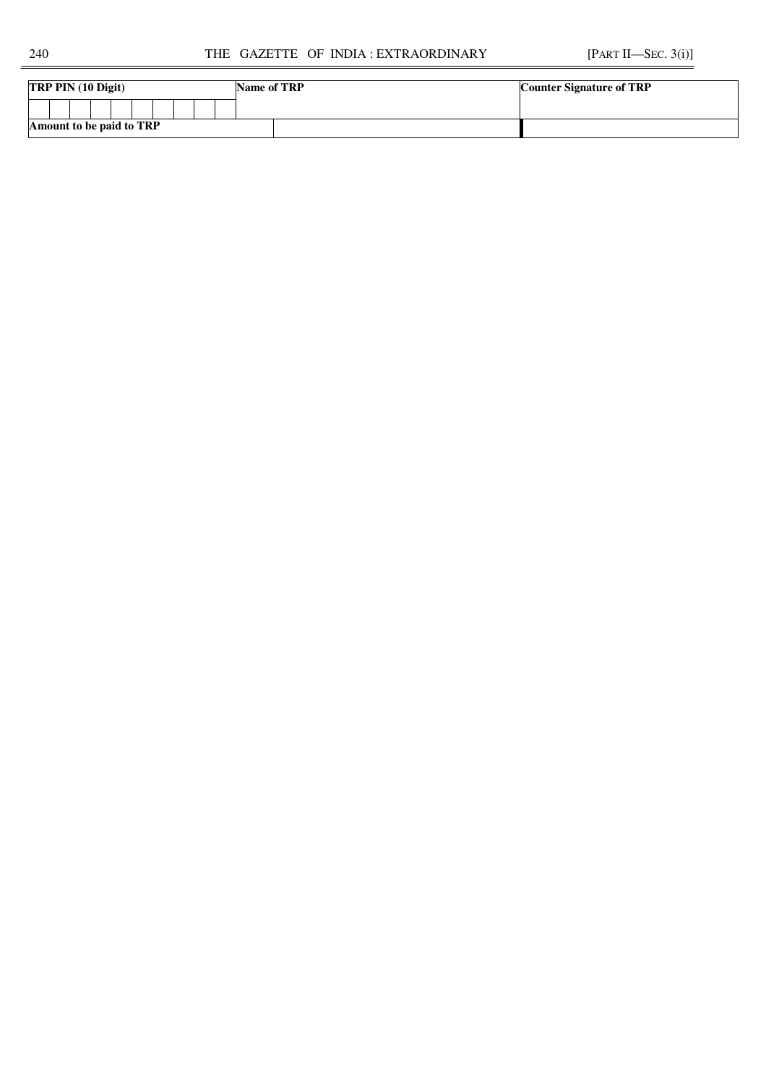| <b>TRP PIN</b> $(10 \text{ Digit})$ | Name of TRP | <b>Counter Signature of TRP</b> |  |  |
|-------------------------------------|-------------|---------------------------------|--|--|
|                                     |             |                                 |  |  |
| Amount to be paid to TRP            |             |                                 |  |  |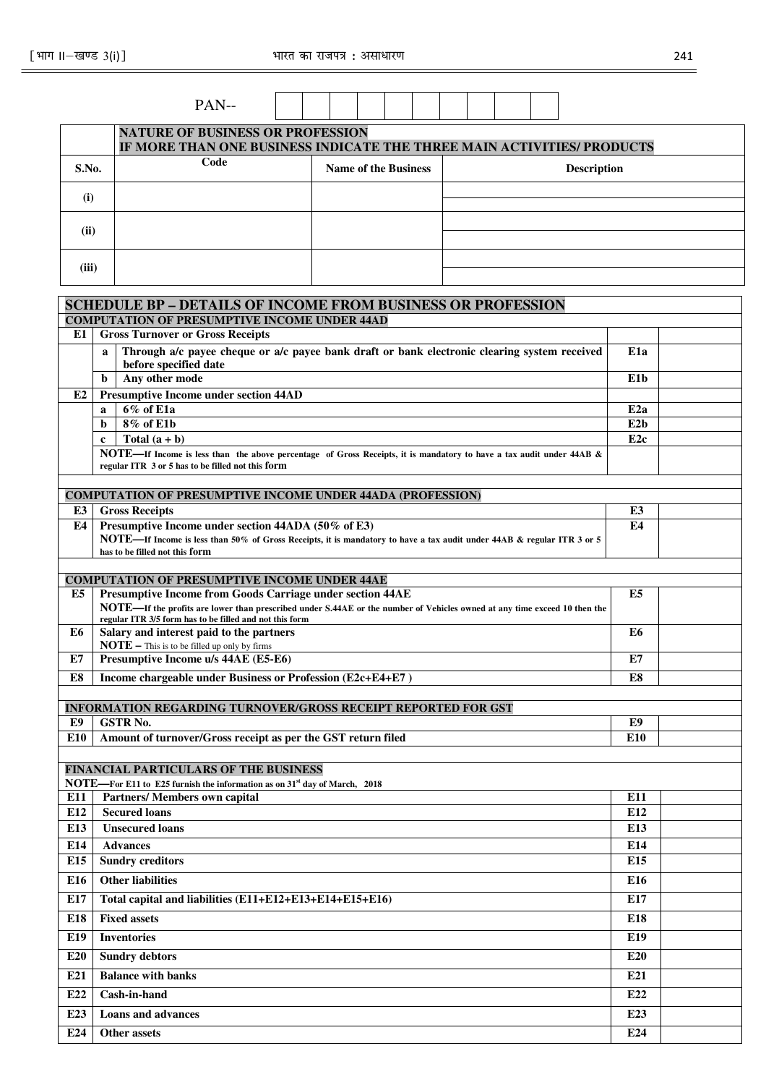|                | ।−खण्ड 3(i)]                                                                                                                                                                         | भारत का राजपत्र : असाधारण   |                    | 241             |
|----------------|--------------------------------------------------------------------------------------------------------------------------------------------------------------------------------------|-----------------------------|--------------------|-----------------|
|                | PAN--                                                                                                                                                                                |                             |                    |                 |
|                |                                                                                                                                                                                      |                             |                    |                 |
|                | <b>NATURE OF BUSINESS OR PROFESSION</b><br>IF MORE THAN ONE BUSINESS INDICATE THE THREE MAIN ACTIVITIES/ PRODUCTS                                                                    |                             |                    |                 |
| S.No.          | Code                                                                                                                                                                                 | <b>Name of the Business</b> | <b>Description</b> |                 |
| (i)            |                                                                                                                                                                                      |                             |                    |                 |
| (ii)           |                                                                                                                                                                                      |                             |                    |                 |
| (iii)          |                                                                                                                                                                                      |                             |                    |                 |
|                |                                                                                                                                                                                      |                             |                    |                 |
|                | <b>SCHEDULE BP - DETAILS OF INCOME FROM BUSINESS OR PROFESSION</b><br><b>COMPUTATION OF PRESUMPTIVE INCOME UNDER 44AD</b>                                                            |                             |                    |                 |
| E1             | <b>Gross Turnover or Gross Receipts</b>                                                                                                                                              |                             |                    |                 |
|                | Through a/c payee cheque or a/c payee bank draft or bank electronic clearing system received<br>a<br>before specified date                                                           |                             |                    | E1a             |
|                | Any other mode<br>b                                                                                                                                                                  |                             |                    | E1b             |
| E2             | <b>Presumptive Income under section 44AD</b>                                                                                                                                         |                             |                    |                 |
|                | 6% of E1a<br>a                                                                                                                                                                       |                             |                    | E <sub>2a</sub> |
|                | 8% of E1b<br>b                                                                                                                                                                       |                             |                    | E2b             |
|                | Total $(a + b)$<br>$\mathbf c$                                                                                                                                                       |                             |                    | E <sub>2c</sub> |
|                | NOTE—If Income is less than the above percentage of Gross Receipts, it is mandatory to have a tax audit under 44AB &<br>regular ITR 3 or 5 has to be filled not this form            |                             |                    |                 |
|                |                                                                                                                                                                                      |                             |                    |                 |
|                | <b>COMPUTATION OF PRESUMPTIVE INCOME UNDER 44ADA (PROFESSION)</b>                                                                                                                    |                             |                    |                 |
| E3             | <b>Gross Receipts</b>                                                                                                                                                                |                             |                    | E3              |
| E4             | Presumptive Income under section 44ADA (50% of E3)<br>NOTE—If Income is less than 50% of Gross Receipts, it is mandatory to have a tax audit under 44AB & regular ITR 3 or 5         |                             |                    | E4              |
|                | has to be filled not this form                                                                                                                                                       |                             |                    |                 |
|                |                                                                                                                                                                                      |                             |                    |                 |
|                | <b>COMPUTATION OF PRESUMPTIVE INCOME UNDER 44AE</b>                                                                                                                                  |                             |                    |                 |
| E5             | <b>Presumptive Income from Goods Carriage under section 44AE</b>                                                                                                                     |                             |                    | E5              |
|                | NOTE—If the profits are lower than prescribed under S.44AE or the number of Vehicles owned at any time exceed 10 then the<br>regular ITR 3/5 form has to be filled and not this form |                             |                    |                 |
| E <sub>6</sub> | Salary and interest paid to the partners                                                                                                                                             |                             |                    | E6              |
|                | $\textbf{NOTE}$ – This is to be filled up only by firms                                                                                                                              |                             |                    |                 |
| E7             | Presumptive Income u/s 44AE (E5-E6)                                                                                                                                                  |                             |                    | E7              |
| E8             | Income chargeable under Business or Profession (E2c+E4+E7)                                                                                                                           |                             |                    | E8              |
|                | <b>INFORMATION REGARDING TURNOVER/GROSS RECEIPT REPORTED FOR GST</b>                                                                                                                 |                             |                    |                 |
| E9             | <b>GSTR No.</b>                                                                                                                                                                      |                             |                    | E9              |
| E10            | Amount of turnover/Gross receipt as per the GST return filed                                                                                                                         |                             |                    | E <sub>10</sub> |
|                |                                                                                                                                                                                      |                             |                    |                 |
|                | FINANCIAL PARTICULARS OF THE BUSINESS                                                                                                                                                |                             |                    |                 |
|                | <b>NOTE—For E11 to E25 furnish the information as on 31<sup>st</sup> day of March, 2018</b>                                                                                          |                             |                    |                 |
| E11            | Partners/ Members own capital                                                                                                                                                        |                             |                    | E11             |
| E12            | <b>Secured loans</b>                                                                                                                                                                 |                             |                    | E12             |
| E13            | <b>Unsecured loans</b>                                                                                                                                                               |                             |                    | E13             |
| E14            | <b>Advances</b>                                                                                                                                                                      |                             |                    | E14             |
| E15            | <b>Sundry creditors</b>                                                                                                                                                              |                             |                    | E15             |

| E12             | <b>Secured loans</b>                                    | E <sub>12</sub> |  |
|-----------------|---------------------------------------------------------|-----------------|--|
| E13             | <b>Unsecured loans</b>                                  | E13             |  |
| E14             | <b>Advances</b>                                         | E14             |  |
| E <sub>15</sub> | <b>Sundry creditors</b>                                 | E <sub>15</sub> |  |
| E <sub>16</sub> | <b>Other liabilities</b>                                | E <sub>16</sub> |  |
| E17             | Total capital and liabilities (E11+E12+E13+E14+E15+E16) | E17             |  |
| E18             | <b>Fixed assets</b>                                     | E18             |  |
| E19             | <b>Inventories</b>                                      | E <sub>19</sub> |  |
| <b>E20</b>      | <b>Sundry debtors</b>                                   | E20             |  |
| E21             | <b>Balance with banks</b>                               | E21             |  |
| E22             | Cash-in-hand                                            | E22             |  |
| E23             | <b>Loans and advances</b>                               | E23             |  |
| E24             | <b>Other assets</b>                                     | E24             |  |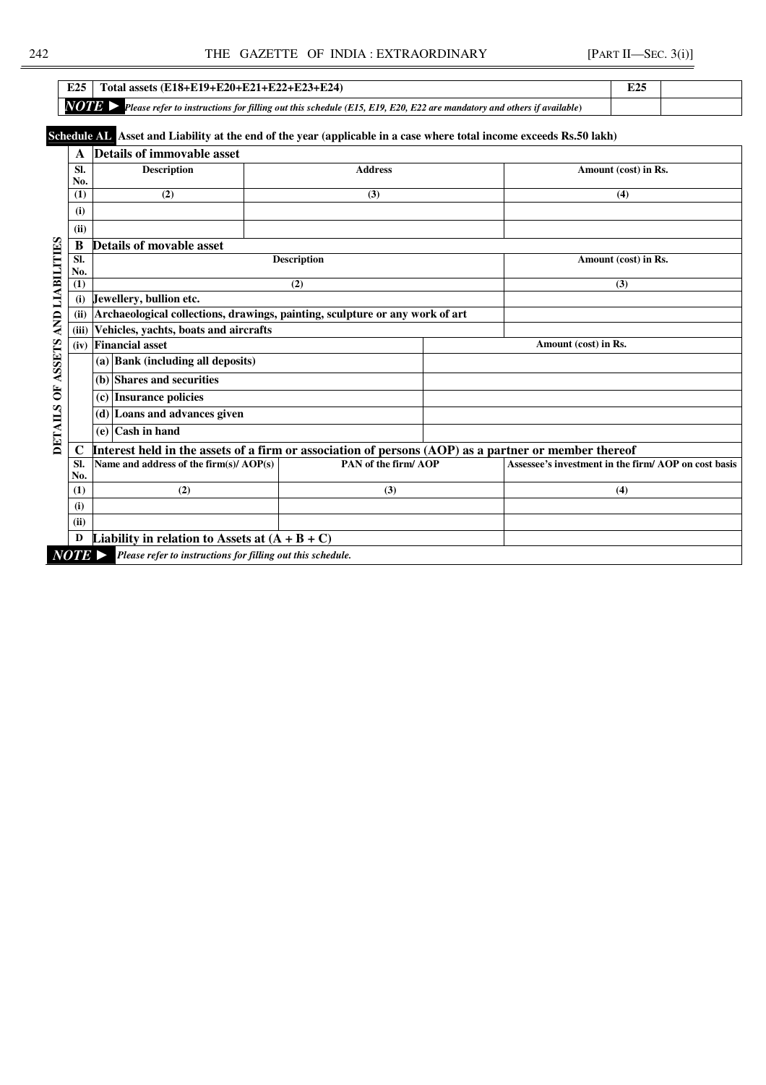| E <sub>25</sub> | Total assets $(E18+E19+E20+E21+E22+E23+E24)$                                                                                 | <b>TA</b><br>، کە ت |  |
|-----------------|------------------------------------------------------------------------------------------------------------------------------|---------------------|--|
| <b>NOTE</b>     | <b>Please refer to instructions for filling out this schedule (E15, E19, E20, E22 are mandatory and others if available)</b> |                     |  |

# **Schedule AL Asset and Liability at the end of the year (applicable in a case where total income exceeds Rs.50 lakh)**

|                        | A                     | <b>Details of immovable asset</b>                                                                    |                     |                      |                                                     |  |  |  |  |
|------------------------|-----------------------|------------------------------------------------------------------------------------------------------|---------------------|----------------------|-----------------------------------------------------|--|--|--|--|
|                        | SI.                   | <b>Description</b>                                                                                   |                     | Amount (cost) in Rs. |                                                     |  |  |  |  |
|                        | No.                   |                                                                                                      |                     |                      |                                                     |  |  |  |  |
|                        | (1)                   | (2)                                                                                                  | (3)                 |                      | (4)                                                 |  |  |  |  |
|                        | (i)                   |                                                                                                      |                     |                      |                                                     |  |  |  |  |
|                        | (ii)                  |                                                                                                      |                     |                      |                                                     |  |  |  |  |
|                        | B                     | Details of movable asset                                                                             |                     |                      |                                                     |  |  |  |  |
| <b>AND LIABILITIES</b> | SI.<br>No.            |                                                                                                      | <b>Description</b>  |                      | Amount (cost) in Rs.                                |  |  |  |  |
|                        | (1)                   |                                                                                                      |                     | (3)                  |                                                     |  |  |  |  |
|                        | (i)                   | Jewellery, bullion etc.                                                                              |                     |                      |                                                     |  |  |  |  |
|                        | (ii)                  | Archaeological collections, drawings, painting, sculpture or any work of art                         |                     |                      |                                                     |  |  |  |  |
|                        | (iii)                 | Vehicles, yachts, boats and aircrafts                                                                |                     |                      |                                                     |  |  |  |  |
|                        | (iv)                  | <b>Financial asset</b>                                                                               |                     |                      | Amount (cost) in Rs.                                |  |  |  |  |
| <b>ASSETS</b>          |                       | (a) Bank (including all deposits)                                                                    |                     |                      |                                                     |  |  |  |  |
|                        |                       | (b) Shares and securities                                                                            |                     |                      |                                                     |  |  |  |  |
| $\overline{O}$         |                       | <b>Insurance policies</b><br>(c)                                                                     |                     |                      |                                                     |  |  |  |  |
|                        |                       | (d) Loans and advances given                                                                         |                     |                      |                                                     |  |  |  |  |
| <b>DETAILS</b>         |                       | <b>Cash in hand</b><br>(e)                                                                           |                     |                      |                                                     |  |  |  |  |
|                        | C                     | Interest held in the assets of a firm or association of persons (AOP) as a partner or member thereof |                     |                      |                                                     |  |  |  |  |
|                        | SI.<br>No.            | Name and address of the firm(s)/ AOP(s)                                                              | PAN of the firm/AOP |                      | Assessee's investment in the firm/AOP on cost basis |  |  |  |  |
|                        | (1)                   | (2)                                                                                                  | (3)                 |                      | (4)                                                 |  |  |  |  |
|                        | (i)                   |                                                                                                      |                     |                      |                                                     |  |  |  |  |
|                        | (ii)                  |                                                                                                      |                     |                      |                                                     |  |  |  |  |
|                        | D                     | Liability in relation to Assets at $(A + B + C)$                                                     |                     |                      |                                                     |  |  |  |  |
|                        | $NOTE \triangleright$ | Please refer to instructions for filling out this schedule.                                          |                     |                      |                                                     |  |  |  |  |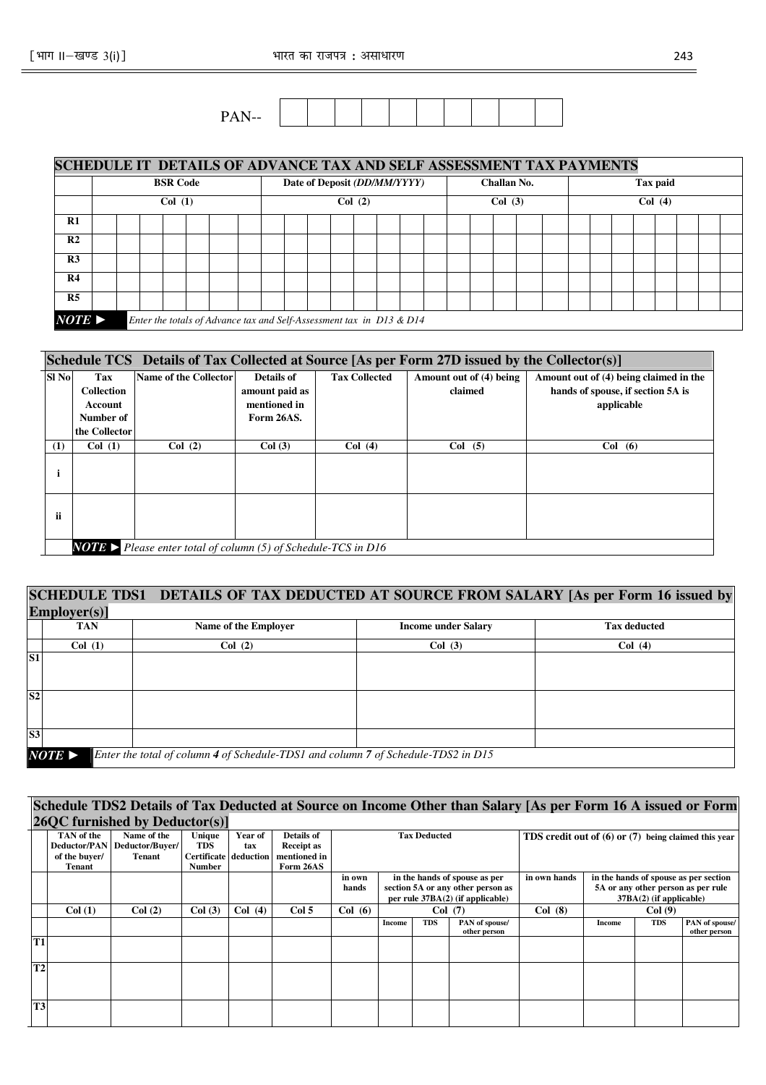| $\cdots$<br>$\mathbf{r}$<br>$- -$ |  |  |  |  |  |
|-----------------------------------|--|--|--|--|--|
| --<br>--                          |  |  |  |  |  |

|                       | SCHEDULE IT DETAILS OF ADVANCE TAX AND SELF ASSESSMENT TAX PAYMENTS |                                                                      |        |  |  |                              |  |        |             |  |          |  |  |  |  |  |  |  |  |  |  |  |  |  |
|-----------------------|---------------------------------------------------------------------|----------------------------------------------------------------------|--------|--|--|------------------------------|--|--------|-------------|--|----------|--|--|--|--|--|--|--|--|--|--|--|--|--|
|                       |                                                                     | <b>BSR Code</b>                                                      |        |  |  | Date of Deposit (DD/MM/YYYY) |  |        | Challan No. |  | Tax paid |  |  |  |  |  |  |  |  |  |  |  |  |  |
|                       | Col(1)                                                              |                                                                      | Col(2) |  |  |                              |  | Col(3) |             |  | Col(4)   |  |  |  |  |  |  |  |  |  |  |  |  |  |
| R1                    |                                                                     |                                                                      |        |  |  |                              |  |        |             |  |          |  |  |  |  |  |  |  |  |  |  |  |  |  |
| R <sub>2</sub>        |                                                                     |                                                                      |        |  |  |                              |  |        |             |  |          |  |  |  |  |  |  |  |  |  |  |  |  |  |
| R <sub>3</sub>        |                                                                     |                                                                      |        |  |  |                              |  |        |             |  |          |  |  |  |  |  |  |  |  |  |  |  |  |  |
| R <sub>4</sub>        |                                                                     |                                                                      |        |  |  |                              |  |        |             |  |          |  |  |  |  |  |  |  |  |  |  |  |  |  |
| R <sub>5</sub>        |                                                                     |                                                                      |        |  |  |                              |  |        |             |  |          |  |  |  |  |  |  |  |  |  |  |  |  |  |
| $NOTE \triangleright$ |                                                                     | Enter the totals of Advance tax and Self-Assessment tax in D13 & D14 |        |  |  |                              |  |        |             |  |          |  |  |  |  |  |  |  |  |  |  |  |  |  |

#### **Schedule TCS Details of Tax Collected at Source [As per Form 27D issued by the Collector(s)] Sl No Tax Collection Account Number of the Collector**<br>**Col** (1) **Name of the Collector Details of amount paid as mentioned in Form 26AS. Tax Collected** Amount out of (4) being **claimed Amount out of (4) being claimed in the hands of spouse, if section 5A is applicable (1) Col (1) Col (2) Col (3) Col (4) Col (5) Col (6) i ii**

*NOTE* ► *Please enter total of column (5) of Schedule-TCS in D16*

|                 |                                                                                                            |                      | SCHEDULE TDS1 DETAILS OF TAX DEDUCTED AT SOURCE FROM SALARY [As per Form 16 issued by |                     |  |  |  |  |  |  |
|-----------------|------------------------------------------------------------------------------------------------------------|----------------------|---------------------------------------------------------------------------------------|---------------------|--|--|--|--|--|--|
|                 | $Employer(s)$ ]                                                                                            |                      |                                                                                       |                     |  |  |  |  |  |  |
|                 | <b>TAN</b>                                                                                                 | Name of the Employer | <b>Income under Salary</b>                                                            | <b>Tax deducted</b> |  |  |  |  |  |  |
|                 | Col(1)                                                                                                     | Col(2)               | Col(3)                                                                                | Col(4)              |  |  |  |  |  |  |
| $\overline{S1}$ |                                                                                                            |                      |                                                                                       |                     |  |  |  |  |  |  |
| S <sub>2</sub>  |                                                                                                            |                      |                                                                                       |                     |  |  |  |  |  |  |
| S3              |                                                                                                            |                      |                                                                                       |                     |  |  |  |  |  |  |
|                 | Enter the total of column 4 of Schedule-TDS1 and column 7 of Schedule-TDS2 in D15<br>$NOTE \triangleright$ |                      |                                                                                       |                     |  |  |  |  |  |  |

# **Schedule TDS2 Details of Tax Deducted at Source on Income Other than Salary [As per Form 16 A issued or Form 26QC furnished by Deductor(s)]**

|                | $\vee$ $\vee$ $\vee$ $\vee$ $\vee$ $\vee$ $\vee$ $\vee$<br>$      -$<br>$\sqrt{2}$ |                 |                       |         |                   |        |                                  |                     |                                   |                                                          |        |     |                                       |  |
|----------------|------------------------------------------------------------------------------------|-----------------|-----------------------|---------|-------------------|--------|----------------------------------|---------------------|-----------------------------------|----------------------------------------------------------|--------|-----|---------------------------------------|--|
|                | TAN of the                                                                         | Name of the     | Unique                | Year of | <b>Details of</b> |        |                                  | <b>Tax Deducted</b> |                                   | TDS credit out of $(6)$ or $(7)$ being claimed this year |        |     |                                       |  |
|                | Deductor/PAN                                                                       | Deductor/Buyer/ | TDS                   | tax     | <b>Receipt as</b> |        |                                  |                     |                                   |                                                          |        |     |                                       |  |
|                | of the buyer/                                                                      | <b>Tenant</b>   | Certificate deduction |         | mentioned in      |        |                                  |                     |                                   |                                                          |        |     |                                       |  |
|                | <b>Tenant</b>                                                                      |                 | <b>Number</b>         |         | Form 26AS         |        |                                  |                     |                                   |                                                          |        |     |                                       |  |
|                |                                                                                    |                 |                       |         |                   | in own |                                  |                     | in the hands of spouse as per     | in own hands                                             |        |     | in the hands of spouse as per section |  |
|                |                                                                                    |                 |                       |         |                   | hands  |                                  |                     | section 5A or any other person as |                                                          |        |     | 5A or any other person as per rule    |  |
|                |                                                                                    |                 |                       |         |                   |        | per rule 37BA(2) (if applicable) |                     |                                   | $37BA(2)$ (if applicable)                                |        |     |                                       |  |
|                | Col(1)                                                                             | Col(2)          | Col(3)                | Col(4)  | Col <sub>5</sub>  | Col(6) | Col(7)                           |                     | Col(8)                            | Col(9)                                                   |        |     |                                       |  |
|                |                                                                                    |                 |                       |         |                   |        | Income                           | <b>TDS</b>          | PAN of spouse/                    |                                                          | Income | TDS | PAN of spouse/                        |  |
|                |                                                                                    |                 |                       |         |                   |        |                                  |                     | other person                      |                                                          |        |     | other person                          |  |
| <b>T1</b>      |                                                                                    |                 |                       |         |                   |        |                                  |                     |                                   |                                                          |        |     |                                       |  |
|                |                                                                                    |                 |                       |         |                   |        |                                  |                     |                                   |                                                          |        |     |                                       |  |
| T <sub>2</sub> |                                                                                    |                 |                       |         |                   |        |                                  |                     |                                   |                                                          |        |     |                                       |  |
|                |                                                                                    |                 |                       |         |                   |        |                                  |                     |                                   |                                                          |        |     |                                       |  |
|                |                                                                                    |                 |                       |         |                   |        |                                  |                     |                                   |                                                          |        |     |                                       |  |
| <b>T3</b>      |                                                                                    |                 |                       |         |                   |        |                                  |                     |                                   |                                                          |        |     |                                       |  |
|                |                                                                                    |                 |                       |         |                   |        |                                  |                     |                                   |                                                          |        |     |                                       |  |
|                |                                                                                    |                 |                       |         |                   |        |                                  |                     |                                   |                                                          |        |     |                                       |  |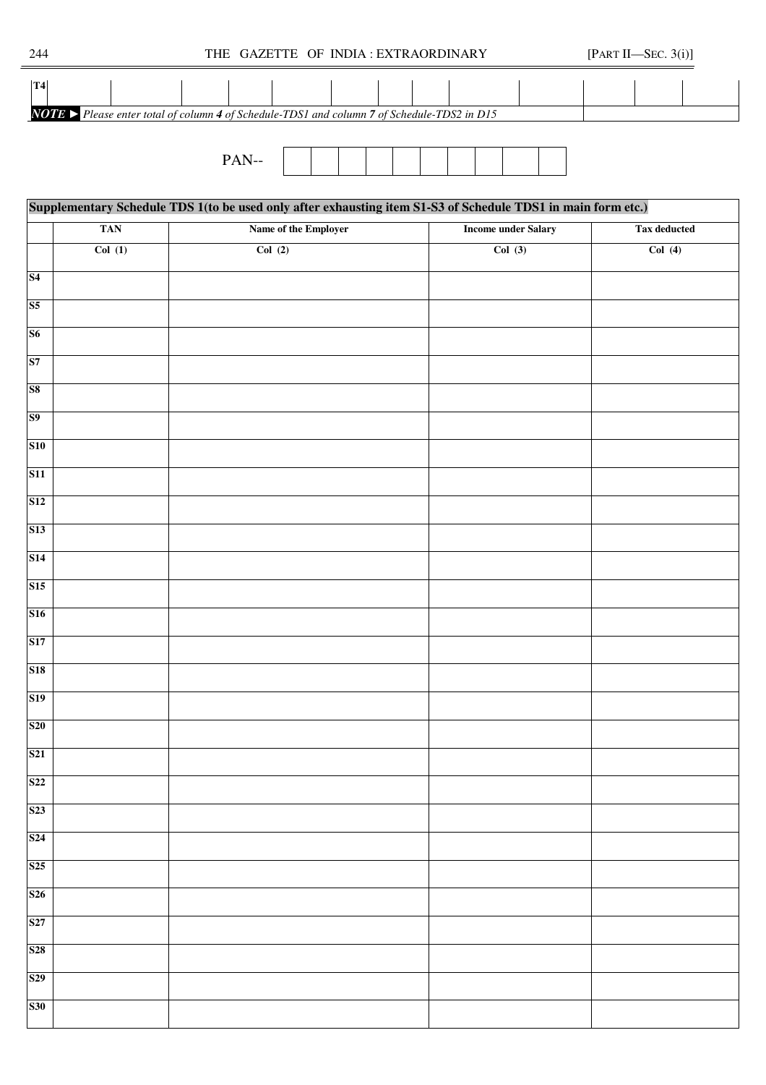| 244 |  | THE GAZETTE OF INDIA: EXTRAORDINARY | [PART II-SEC. $3(i)$ ] |  |
|-----|--|-------------------------------------|------------------------|--|
|     |  |                                     |                        |  |





|                 | Supplementary Schedule TDS 1(to be used only after exhausting item S1-S3 of Schedule TDS1 in main form etc.) |                      |                            |                     |  |  |  |  |  |  |  |  |
|-----------------|--------------------------------------------------------------------------------------------------------------|----------------------|----------------------------|---------------------|--|--|--|--|--|--|--|--|
|                 | <b>TAN</b>                                                                                                   | Name of the Employer | <b>Income under Salary</b> | <b>Tax deducted</b> |  |  |  |  |  |  |  |  |
|                 | Col(1)                                                                                                       | Col(2)               | Col(3)                     | Col(4)              |  |  |  |  |  |  |  |  |
| S <sub>4</sub>  |                                                                                                              |                      |                            |                     |  |  |  |  |  |  |  |  |
| S <sub>5</sub>  |                                                                                                              |                      |                            |                     |  |  |  |  |  |  |  |  |
| S6              |                                                                                                              |                      |                            |                     |  |  |  |  |  |  |  |  |
| S7              |                                                                                                              |                      |                            |                     |  |  |  |  |  |  |  |  |
| S <sub>8</sub>  |                                                                                                              |                      |                            |                     |  |  |  |  |  |  |  |  |
| S <sub>9</sub>  |                                                                                                              |                      |                            |                     |  |  |  |  |  |  |  |  |
| <b>S10</b>      |                                                                                                              |                      |                            |                     |  |  |  |  |  |  |  |  |
| S11             |                                                                                                              |                      |                            |                     |  |  |  |  |  |  |  |  |
| S <sub>12</sub> |                                                                                                              |                      |                            |                     |  |  |  |  |  |  |  |  |
| S <sub>13</sub> |                                                                                                              |                      |                            |                     |  |  |  |  |  |  |  |  |
| S14             |                                                                                                              |                      |                            |                     |  |  |  |  |  |  |  |  |
| S15             |                                                                                                              |                      |                            |                     |  |  |  |  |  |  |  |  |
| <b>S16</b>      |                                                                                                              |                      |                            |                     |  |  |  |  |  |  |  |  |
| S17             |                                                                                                              |                      |                            |                     |  |  |  |  |  |  |  |  |
| <b>S18</b>      |                                                                                                              |                      |                            |                     |  |  |  |  |  |  |  |  |
| S <sub>19</sub> |                                                                                                              |                      |                            |                     |  |  |  |  |  |  |  |  |
| <b>S20</b>      |                                                                                                              |                      |                            |                     |  |  |  |  |  |  |  |  |
| <b>S21</b>      |                                                                                                              |                      |                            |                     |  |  |  |  |  |  |  |  |
| <b>S22</b>      |                                                                                                              |                      |                            |                     |  |  |  |  |  |  |  |  |
| S <sub>23</sub> |                                                                                                              |                      |                            |                     |  |  |  |  |  |  |  |  |
| S <sub>24</sub> |                                                                                                              |                      |                            |                     |  |  |  |  |  |  |  |  |
| S <sub>25</sub> |                                                                                                              |                      |                            |                     |  |  |  |  |  |  |  |  |
| <b>S26</b>      |                                                                                                              |                      |                            |                     |  |  |  |  |  |  |  |  |
| S27             |                                                                                                              |                      |                            |                     |  |  |  |  |  |  |  |  |
| <b>S28</b>      |                                                                                                              |                      |                            |                     |  |  |  |  |  |  |  |  |
| S <sub>29</sub> |                                                                                                              |                      |                            |                     |  |  |  |  |  |  |  |  |
| <b>S30</b>      |                                                                                                              |                      |                            |                     |  |  |  |  |  |  |  |  |
|                 |                                                                                                              |                      |                            |                     |  |  |  |  |  |  |  |  |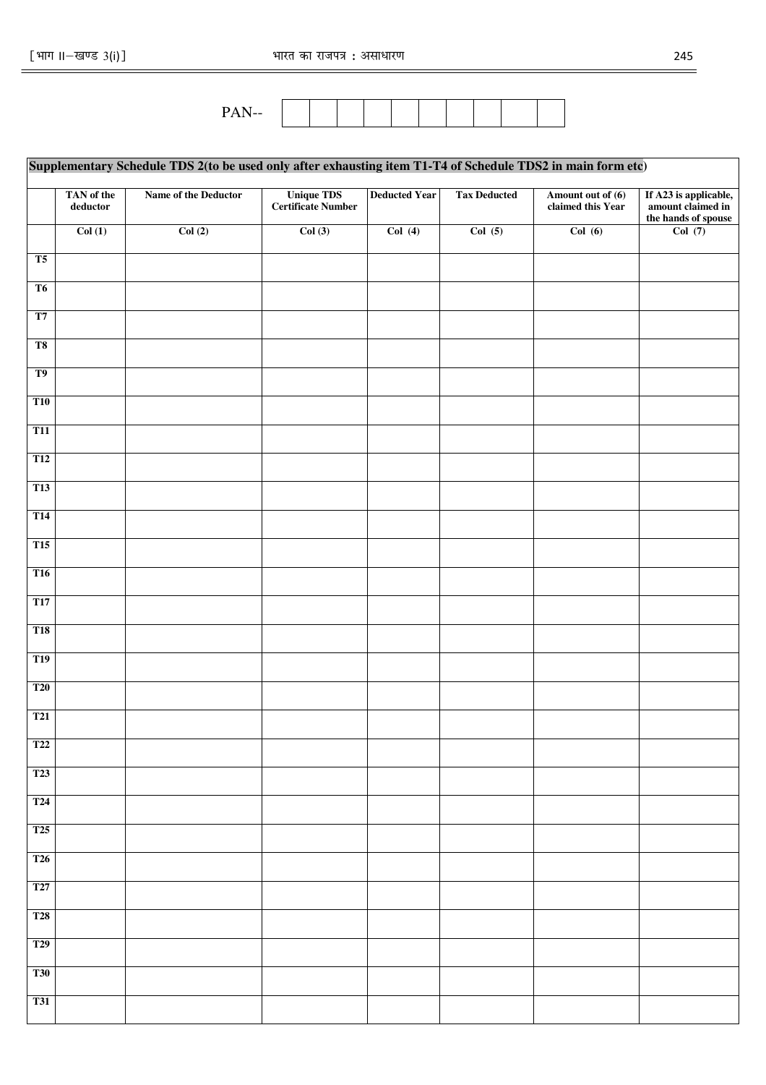$=$ 



|                | Supplementary Schedule TDS 2(to be used only after exhausting item T1-T4 of Schedule TDS2 in main form etc) |                      |                                         |                      |                     |                                        |                                                                   |  |  |  |  |  |
|----------------|-------------------------------------------------------------------------------------------------------------|----------------------|-----------------------------------------|----------------------|---------------------|----------------------------------------|-------------------------------------------------------------------|--|--|--|--|--|
|                | TAN of the<br>$\bold{deductor}$                                                                             | Name of the Deductor | <b>Unique TDS</b><br>Certificate Number | <b>Deducted Year</b> | <b>Tax Deducted</b> | Amount out of (6)<br>claimed this Year | If A23 is applicable,<br>amount claimed in<br>the hands of spouse |  |  |  |  |  |
|                | Col(1)                                                                                                      | Col(2)               | Col(3)                                  | Col(4)               | Col(5)              | Col(6)                                 | Col(7)                                                            |  |  |  |  |  |
| T <sub>5</sub> |                                                                                                             |                      |                                         |                      |                     |                                        |                                                                   |  |  |  |  |  |
| T <sub>6</sub> |                                                                                                             |                      |                                         |                      |                     |                                        |                                                                   |  |  |  |  |  |
| T7             |                                                                                                             |                      |                                         |                      |                     |                                        |                                                                   |  |  |  |  |  |
| T <sub>8</sub> |                                                                                                             |                      |                                         |                      |                     |                                        |                                                                   |  |  |  |  |  |
| T <sub>9</sub> |                                                                                                             |                      |                                         |                      |                     |                                        |                                                                   |  |  |  |  |  |
| <b>T10</b>     |                                                                                                             |                      |                                         |                      |                     |                                        |                                                                   |  |  |  |  |  |
| <b>T11</b>     |                                                                                                             |                      |                                         |                      |                     |                                        |                                                                   |  |  |  |  |  |
| <b>T12</b>     |                                                                                                             |                      |                                         |                      |                     |                                        |                                                                   |  |  |  |  |  |
| <b>T13</b>     |                                                                                                             |                      |                                         |                      |                     |                                        |                                                                   |  |  |  |  |  |
| <b>T14</b>     |                                                                                                             |                      |                                         |                      |                     |                                        |                                                                   |  |  |  |  |  |
| <b>T15</b>     |                                                                                                             |                      |                                         |                      |                     |                                        |                                                                   |  |  |  |  |  |
| <b>T16</b>     |                                                                                                             |                      |                                         |                      |                     |                                        |                                                                   |  |  |  |  |  |
| <b>T17</b>     |                                                                                                             |                      |                                         |                      |                     |                                        |                                                                   |  |  |  |  |  |
| <b>T18</b>     |                                                                                                             |                      |                                         |                      |                     |                                        |                                                                   |  |  |  |  |  |
| <b>T19</b>     |                                                                                                             |                      |                                         |                      |                     |                                        |                                                                   |  |  |  |  |  |
| <b>T20</b>     |                                                                                                             |                      |                                         |                      |                     |                                        |                                                                   |  |  |  |  |  |
| <b>T21</b>     |                                                                                                             |                      |                                         |                      |                     |                                        |                                                                   |  |  |  |  |  |
| <b>T22</b>     |                                                                                                             |                      |                                         |                      |                     |                                        |                                                                   |  |  |  |  |  |
| <b>T23</b>     |                                                                                                             |                      |                                         |                      |                     |                                        |                                                                   |  |  |  |  |  |
| <b>T24</b>     |                                                                                                             |                      |                                         |                      |                     |                                        |                                                                   |  |  |  |  |  |
| <b>T25</b>     |                                                                                                             |                      |                                         |                      |                     |                                        |                                                                   |  |  |  |  |  |
| <b>T26</b>     |                                                                                                             |                      |                                         |                      |                     |                                        |                                                                   |  |  |  |  |  |
| <b>T27</b>     |                                                                                                             |                      |                                         |                      |                     |                                        |                                                                   |  |  |  |  |  |
| <b>T28</b>     |                                                                                                             |                      |                                         |                      |                     |                                        |                                                                   |  |  |  |  |  |
| <b>T29</b>     |                                                                                                             |                      |                                         |                      |                     |                                        |                                                                   |  |  |  |  |  |
| <b>T30</b>     |                                                                                                             |                      |                                         |                      |                     |                                        |                                                                   |  |  |  |  |  |
| <b>T31</b>     |                                                                                                             |                      |                                         |                      |                     |                                        |                                                                   |  |  |  |  |  |
|                |                                                                                                             |                      |                                         |                      |                     |                                        |                                                                   |  |  |  |  |  |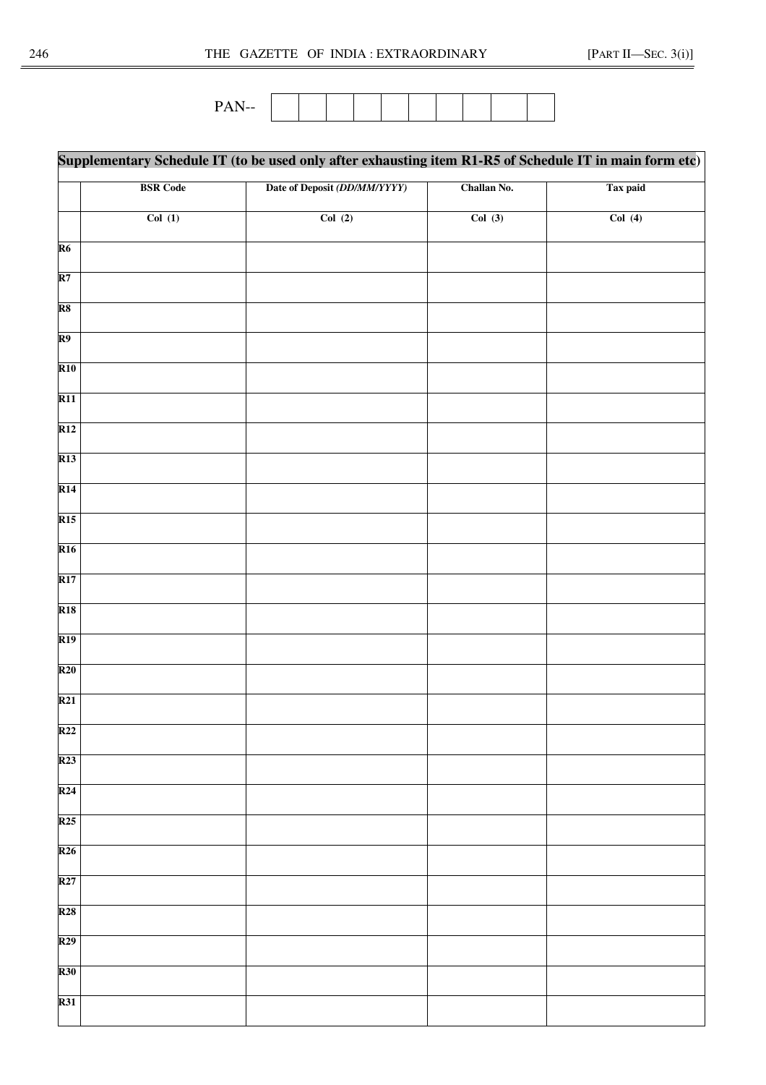PAN--

|                          |                 | Supplementary Schedule IT (to be used only after exhausting item R1-R5 of Schedule IT in main form etc) |             |          |  |  |
|--------------------------|-----------------|---------------------------------------------------------------------------------------------------------|-------------|----------|--|--|
|                          | <b>BSR</b> Code | Date of Deposit (DD/MM/YYYY)                                                                            | Challan No. | Tax paid |  |  |
|                          | Col(1)          | Col(2)                                                                                                  | Col(3)      | Col(4)   |  |  |
| R6                       |                 |                                                                                                         |             |          |  |  |
| $\overline{\mathbf{R7}}$ |                 |                                                                                                         |             |          |  |  |
| R8                       |                 |                                                                                                         |             |          |  |  |
| R9                       |                 |                                                                                                         |             |          |  |  |
| <b>R10</b>               |                 |                                                                                                         |             |          |  |  |
| <b>R11</b>               |                 |                                                                                                         |             |          |  |  |
| $\overline{R12}$         |                 |                                                                                                         |             |          |  |  |
| $\overline{R13}$         |                 |                                                                                                         |             |          |  |  |
| <b>R14</b>               |                 |                                                                                                         |             |          |  |  |
| <b>R15</b>               |                 |                                                                                                         |             |          |  |  |
| <b>R16</b>               |                 |                                                                                                         |             |          |  |  |
| <b>R17</b>               |                 |                                                                                                         |             |          |  |  |
| <b>R18</b>               |                 |                                                                                                         |             |          |  |  |
| R19                      |                 |                                                                                                         |             |          |  |  |
| $\overline{\text{R20}}$  |                 |                                                                                                         |             |          |  |  |
| $\overline{R21}$         |                 |                                                                                                         |             |          |  |  |
| R22                      |                 |                                                                                                         |             |          |  |  |
| <b>R23</b>               |                 |                                                                                                         |             |          |  |  |
| $\overline{R24}$         |                 |                                                                                                         |             |          |  |  |
| <b>R25</b>               |                 |                                                                                                         |             |          |  |  |
| $\overline{R26}$         |                 |                                                                                                         |             |          |  |  |
| <b>R27</b>               |                 |                                                                                                         |             |          |  |  |
| R28                      |                 |                                                                                                         |             |          |  |  |
| R29                      |                 |                                                                                                         |             |          |  |  |
| <b>R30</b>               |                 |                                                                                                         |             |          |  |  |
| <b>R31</b>               |                 |                                                                                                         |             |          |  |  |